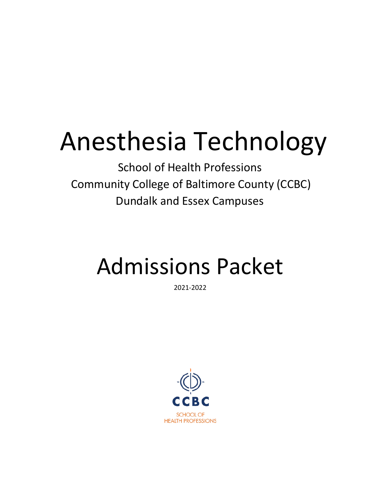## Anesthesia Technology

School of Health Professions Community College of Baltimore County (CCBC) Dundalk and Essex Campuses

## Admissions Packet

2021-2022

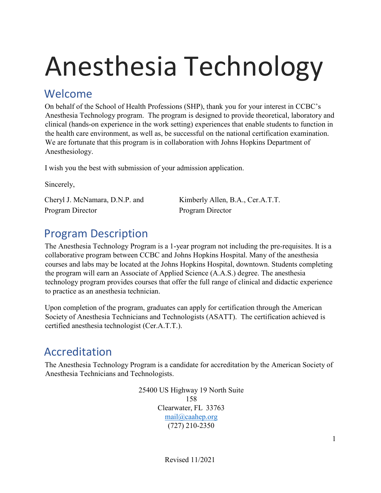# Anesthesia Technology

#### Welcome

On behalf of the School of Health Professions (SHP), thank you for your interest in CCBC's Anesthesia Technology program. The program is designed to provide theoretical, laboratory and clinical (hands-on experience in the work setting) experiences that enable students to function in the health care environment, as well as, be successful on the national certification examination. We are fortunate that this program is in collaboration with Johns Hopkins Department of Anesthesiology.

I wish you the best with submission of your admission application.

Sincerely,

Cheryl J. McNamara, D.N.P. and Kimberly Allen, B.A., Cer.A.T.T. Program Director Program Director

## Program Description

The Anesthesia Technology Program is a 1-year program not including the pre-requisites. It is a collaborative program between CCBC and Johns Hopkins Hospital. Many of the anesthesia courses and labs may be located at the Johns Hopkins Hospital, downtown. Students completing the program will earn an Associate of Applied Science (A.A.S.) degree. The anesthesia technology program provides courses that offer the full range of clinical and didactic experience to practice as an anesthesia technician.

Upon completion of the program, graduates can apply for certification through the American Society of Anesthesia Technicians and Technologists (ASATT). The certification achieved is certified anesthesia technologist (Cer.A.T.T.).

### Accreditation

The Anesthesia Technology Program is a candidate for accreditation by the American Society of Anesthesia Technicians and Technologists.

> 25400 US Highway 19 North Suite 158 Clearwater, FL 33763 [mail@caahep.org](mailto:mail@caahep.org) (727) 210-2350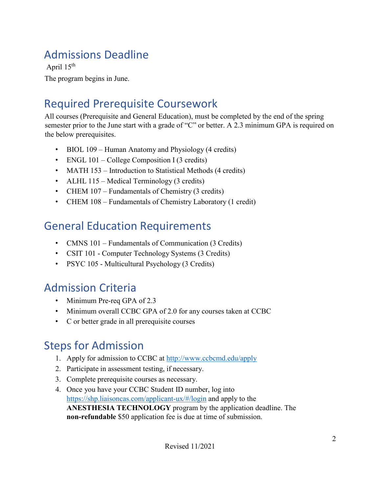## Admissions Deadline

April 15<sup>th</sup>

The program begins in June.

### Required Prerequisite Coursework

All courses (Prerequisite and General Education), must be completed by the end of the spring semester prior to the June start with a grade of "C" or better. A 2.3 minimum GPA is required on the below prerequisites.

- BIOL 109 Human Anatomy and Physiology (4 credits)
- ENGL 101 College Composition I (3 credits)
- MATH 153 Introduction to Statistical Methods (4 credits)
- ALHL 115 Medical Terminology (3 credits)
- CHEM 107 Fundamentals of Chemistry (3 credits)
- CHEM 108 Fundamentals of Chemistry Laboratory (1 credit)

### General Education Requirements

- CMNS 101 Fundamentals of Communication (3 Credits)
- CSIT 101 Computer Technology Systems (3 Credits)
- PSYC 105 Multicultural Psychology (3 Credits)

### Admission Criteria

- Minimum Pre-req GPA of 2.3
- Minimum overall CCBC GPA of 2.0 for any courses taken at CCBC
- C or better grade in all prerequisite courses

### Steps for Admission

- 1. Apply for admission to CCBC at <http://www.ccbcmd.edu/apply>
- 2. Participate in assessment testing, if necessary.
- 3. Complete prerequisite courses as necessary.
- 4. Once you have your CCBC Student ID number, log into https://shp.liaisoncas.com/applicant-ux/#/login and apply to the **ANESTHESIA TECHNOLOGY** program by the [application deadline. The](https://shp.liaisoncas.com/applicant-ux/%23/login)  **[non-refundable](https://shp.liaisoncas.com/applicant-ux/%23/login)** [\\$50 a](https://shp.liaisoncas.com/applicant-ux/%23/login)pplication fee is due at time of submission.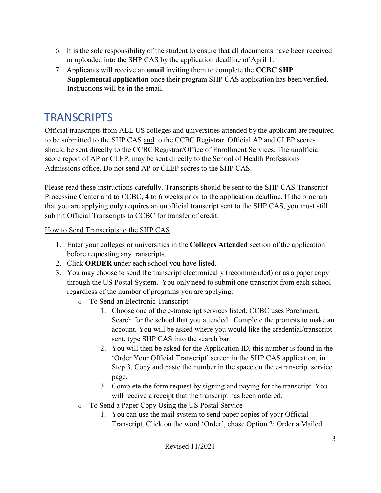- 6. It is the sole responsibility of the student to ensure that all documents have been received or uploaded into the SHP CAS by the application deadline of April 1.
- 7. Applicants will receive an **email** inviting them to complete the **CCBC SHP Supplemental application** once their program SHP CAS application has been verified. Instructions will be in the email.

#### **TRANSCRIPTS**

Official transcripts from ALL US colleges and universities attended by the applicant are required to be submitted to the SHP CAS and to the CCBC Registrar. Official AP and CLEP scores should be sent directly to the CCBC Registrar/Office of Enrollment Services. The unofficial score report of AP or CLEP, may be sent directly to the School of Health Professions Admissions office. Do not send AP or CLEP scores to the SHP CAS.

Please read these instructions carefully. Transcripts should be sent to the SHP CAS Transcript Processing Center and to CCBC, 4 to 6 weeks prior to the application deadline. If the program that you are applying only requires an unofficial transcript sent to the SHP CAS, you must still submit Official Transcripts to CCBC for transfer of credit.

#### How to Send Transcripts to the SHP CAS

- 1. Enter your colleges or universities in the **Colleges Attended** section of the application before requesting any transcripts.
- 2. Click **ORDER** under each school you have listed.
- 3. You may choose to send the transcript electronically (recommended) or as a paper copy through the US Postal System. You only need to submit one transcript from each school regardless of the number of programs you are applying.
	- o To Send an Electronic Transcript
		- 1. Choose one of the e-transcript services listed. CCBC uses Parchment. Search for the school that you attended. Complete the prompts to make an account. You will be asked where you would like the credential/transcript sent, type SHP CAS into the search bar.
		- 2. You will then be asked for the Application ID, this number is found in the 'Order Your Official Transcript' screen in the SHP CAS application, in Step 3. Copy and paste the number in the space on the e-transcript service page.
		- 3. Complete the form request by signing and paying for the transcript. You will receive a receipt that the transcript has been ordered.
	- o To Send a Paper Copy Using the US Postal Service
		- 1. You can use the mail system to send paper copies of your Official Transcript. Click on the word 'Order', chose Option 2: Order a Mailed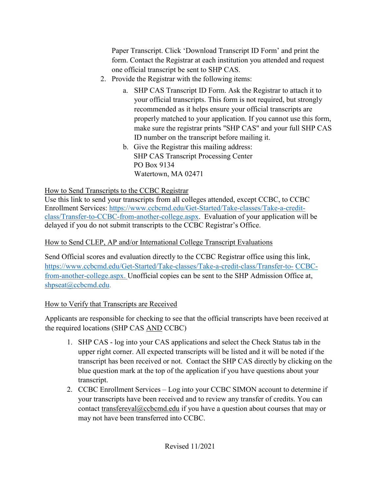Paper Transcript. Click 'Download Transcript ID Form' and print the form. Contact the Registrar at each institution you attended and request one official transcript be sent to SHP CAS.

- 2. Provide the Registrar with the following items:
	- a. SHP CAS Transcript ID Form. Ask the Registrar to attach it to your official transcripts. This form is not required, but strongly recommended as it helps ensure your official transcripts are properly matched to your application. If you cannot use this form, make sure the registrar prints "SHP CAS" and your full SHP CAS ID number on the transcript before mailing it.
	- b. Give the Registrar this mailing address: SHP CAS Transcript Processing Center PO Box 9134 Watertown, MA 02471

#### How to Send Transcripts to the CCBC Registrar

Use this link to send your transcripts from all colleges attended, except CCBC, to CCBC Enrollment Services: [https://www.ccbcmd.edu/Get-Started/Take-classes/Take-a-credit](https://www.ccbcmd.edu/Get-Started/Take-classes/Take-a-credit-class/Transfer-to-CCBC-from-another-college.aspx)[class/Transfer-to-CCBC-from-another-college.aspx.](https://www.ccbcmd.edu/Get-Started/Take-classes/Take-a-credit-class/Transfer-to-CCBC-from-another-college.aspx) Evaluation of your application will be delayed if you do not submit transcripts to the CCBC Registrar's Office.

#### How to Send CLEP, AP and/or International College Transcript Evaluations

Send Official scores and evaluation directly to the CCBC Registrar office using this link, [https://www.ccbcmd.edu/Get-Started/Take-classes/Take-a-credit-class/Transfer-to-](https://www.ccbcmd.edu/Get-Started/Take-classes/Take-a-credit-class/Transfer-to-CCBC-from-another-college.aspx) [CCBC](https://www.ccbcmd.edu/Get-Started/Take-classes/Take-a-credit-class/Transfer-to-CCBC-from-another-college.aspx)[from-another-college.aspx.](https://www.ccbcmd.edu/Get-Started/Take-classes/Take-a-credit-class/Transfer-to-CCBC-from-another-college.aspx) Unofficial copies can be sent to the SHP Admission Office at, [shpseat@ccbcmd.edu.](mailto:shpseat@ccbcmd.edu)

#### How to Verify that Transcripts are Received

Applicants are responsible for checking to see that the official transcripts have been received at the required locations (SHP CAS AND CCBC)

- 1. SHP CAS log into your CAS applications and select the Check Status tab in the upper right corner. All expected transcripts will be listed and it will be noted if the transcript has been received or not. Contact the SHP CAS directly by clicking on the blue question mark at the top of the application if you have questions about your transcript.
- 2. CCBC Enrollment Services Log into your CCBC SIMON account to determine if your transcripts have been received and to review any transfer of credits. You can contact [transfereval@ccbcmd.edu](mailto:transfereval@ccbcmd.edu) if you have a question about courses that may or may not have been transferred into CCBC.